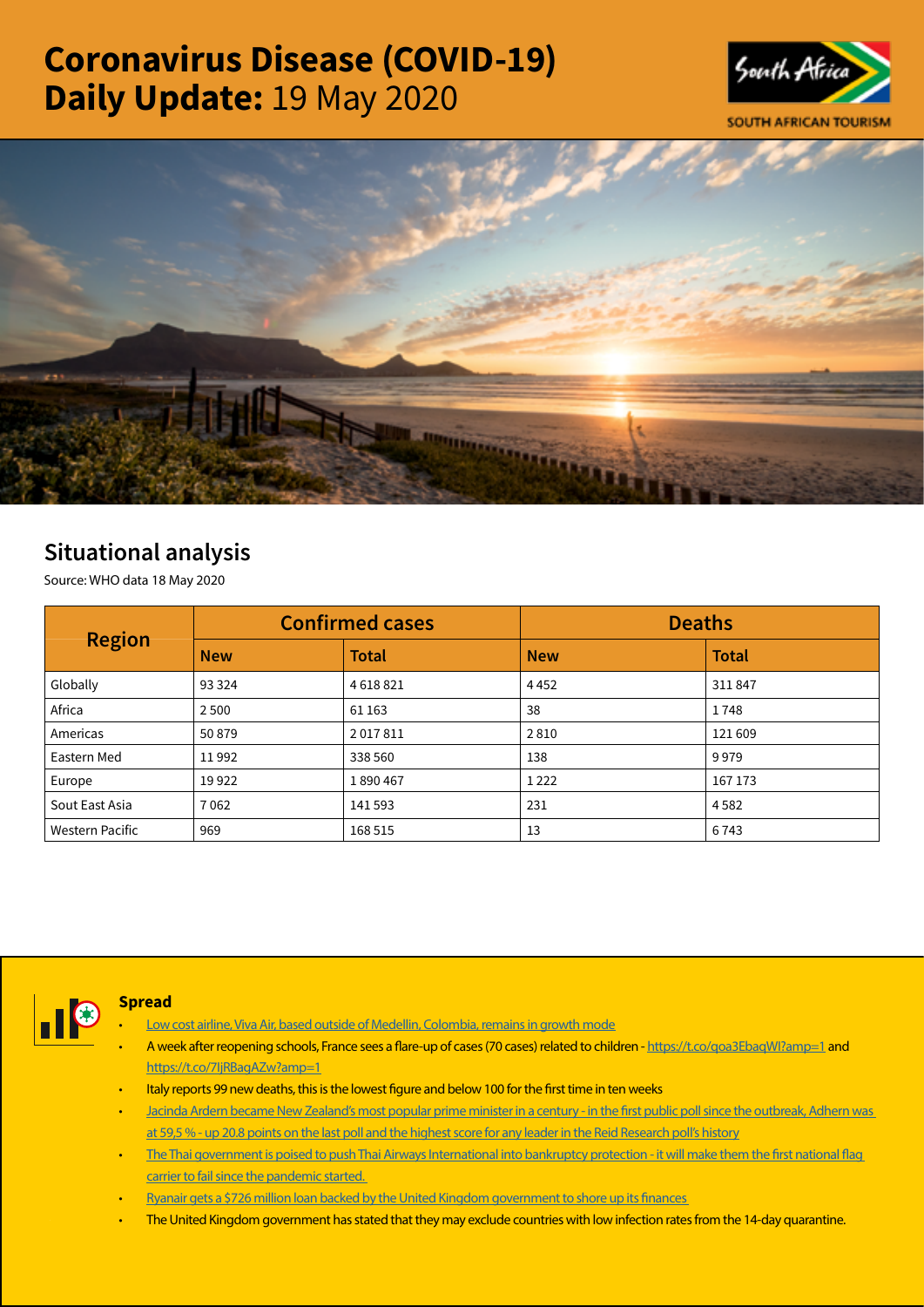# Coronavirus Disease (COVID-19) Daily Update: 19 May 2020





## Situational analysis

Source: WHO data 18 May 2020

| <b>Region</b>   |            | <b>Confirmed cases</b> | <b>Deaths</b> |              |  |
|-----------------|------------|------------------------|---------------|--------------|--|
|                 | <b>New</b> | <b>Total</b>           | <b>New</b>    | <b>Total</b> |  |
| Globally        | 93 3 24    | 4618821                | 4452          | 311847       |  |
| Africa          | 2 5 0 0    | 61 163                 | 38            | 1748         |  |
| Americas        | 50879      | 2017811                | 2810          | 121 609      |  |
| Eastern Med     | 11992      | 338 560                | 138           | 9979         |  |
| Europe          | 19922      | 1890467                | 1222          | 167 173      |  |
| Sout East Asia  | 7062       | 141593                 | 231           | 4582         |  |
| Western Pacific | 969        | 168 515                | 13            | 6743         |  |



#### **Spread**

- [Low cost airline, Viva Air, based outside of Medellin, Colombia, remains in growth mode](https://t.co/vftaelNSjX?amp=1)
- A week after reopening schools, France sees a flare-up of cases (70 cases) related to children -<https://t.co/qoa3EbaqWI?amp=1> and <https://t.co/7IjRBagAZw?amp=1>
- Italy reports 99 new deaths, this is the lowest figure and below 100 for the first time in ten weeks
- [Jacinda Ardern became New Zealand's most popular prime minister in a century in the first public poll since the outbreak, Adhern was](https://t.co/KTD1fRmvgK?amp=1)  [at 59,5 % - up 20.8 points on the last poll and the highest score for any leader in the Reid Research poll's history](https://t.co/KTD1fRmvgK?amp=1)
- [The Thai government is poised to push Thai Airways International into bankruptcy protection it will make them the first national flag](https://t.co/z38aCUASiz?amp=1)  [carrier to fail since the pandemic started.](https://t.co/z38aCUASiz?amp=1)
- [Ryanair gets a \\$726 million loan backed by the United Kingdom government to shore up its finances](https://t.co/25SeHyOvNf?amp=1)
- The United Kingdom government has stated that they may exclude countries with low infection rates from the 14-day quarantine.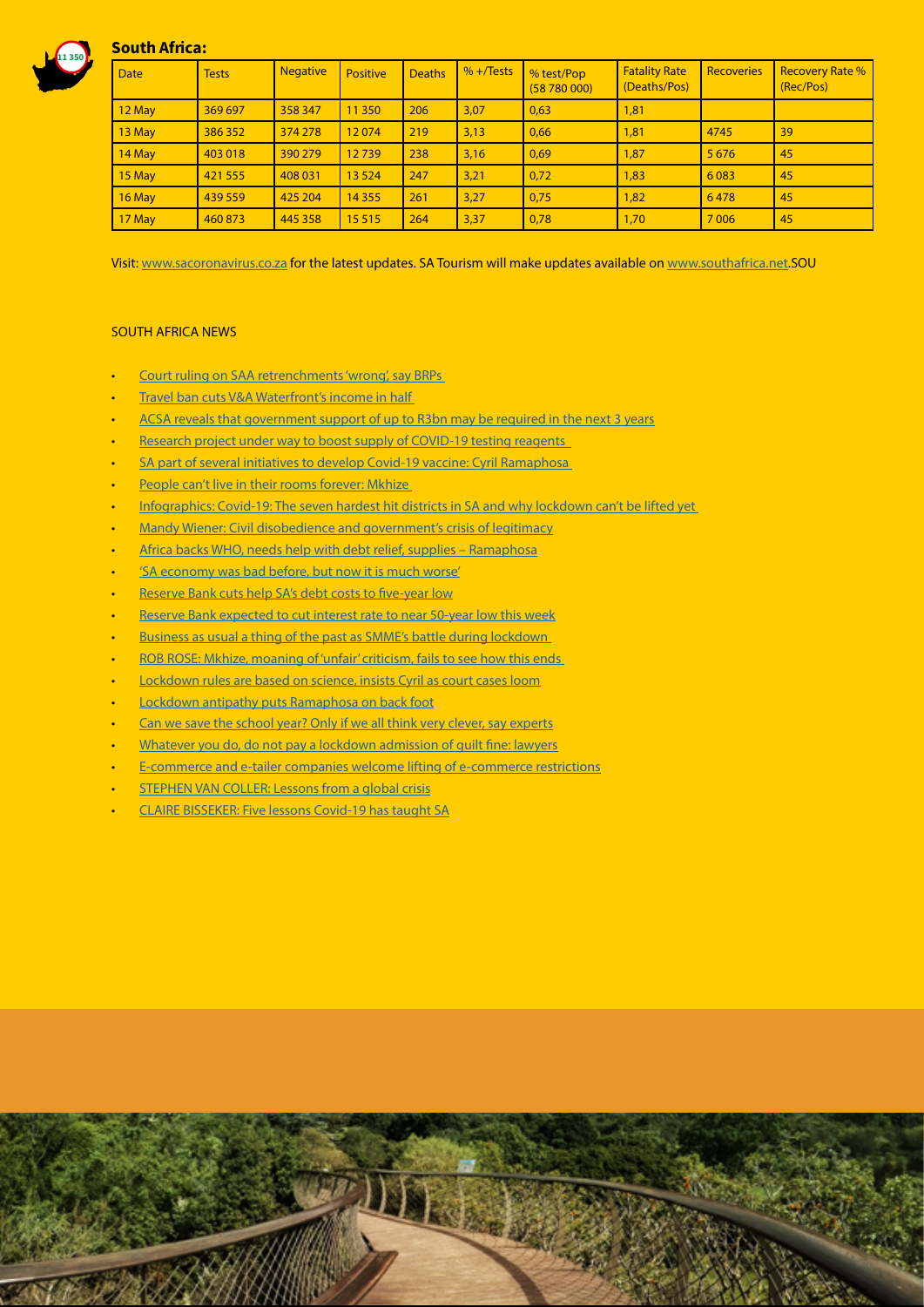

### South Africa:

| <b>Date</b> | <b>Tests</b> | <b>Negative</b> | <b>Positive</b> | <b>Deaths</b> | $% +$ Tests | % test/Pop<br>(58780000) | <b>Fatality Rate</b><br>(Deaths/Pos) | <b>Recoveries</b> | <b>Recovery Rate %</b><br>(Rec/Pos) |
|-------------|--------------|-----------------|-----------------|---------------|-------------|--------------------------|--------------------------------------|-------------------|-------------------------------------|
| $12$ May    | 369 697      | 358 347         | 11 350          | 206           | 3,07        | 0,63                     | 1,81                                 |                   |                                     |
| $13$ May    | 386 352      | 374 278         | 12074           | 219           | 3,13        | 0,66                     | 1,81                                 | 4745              | 39                                  |
| $14$ May    | 403 018      | 390 279         | 12739           | 238           | 3,16        | 0,69                     | 1,87                                 | 5 6 7 6           | 45                                  |
| $15$ May    | 421 555      | 408 031         | 13 5 24         | 247           | 3,21        | 0,72                     | 1,83                                 | 6 0 8 3           | 45                                  |
| $16$ May    | 439 559      | 425 204         | 14 3 5 5        | 261           | 3,27        | 0,75                     | 1,82                                 | 6478              | 45                                  |
| $17$ May    | 460 873      | 445 358         | 15515           | 264           | 3,37        | 0,78                     | 1,70                                 | 7 0 0 6           | 45                                  |

Visit: [www.sacoronavirus.co.za](http://www.sacoronavirus.co.za) for the latest updates. SA Tourism will make updates available on [www.southafrica.net.](http://www.southafrica.net)SOU

#### SOUTH AFRICA NEWS

- [Court ruling on SAA retrenchments 'wrong', say BRPs](https://www.moneyweb.co.za/news/south-africa/court-ruling-on-saa-retrenchments-wrong-say-brps/)
- [Travel ban cuts V&A Waterfront's income in half](https://www.businesslive.co.za/bd/companies/property/2020-05-18-travel-ban-cuts-va-waterfronts-income-in-half/)
- [ACSA reveals that government support of up to R3bn may be required in the next 3 years](https://www.iol.co.za/travel/travel-news/acsa-reveals-that-government-support-of-up-to-r3bn-may-be-required-in-the-next-3-years-48118276)
- Research project under way to boost supply of COVID-19 testing reagents
- SA part of several initiatives to develop Covid-19 vaccine: Cyril Ramaphosa
- People can't live in their rooms forever: Mkhize
- [Infographics: Covid-19: The seven hardest hit districts in SA and why lockdown can't be lifted yet](https://www.news24.com/SouthAfrica/News/infographics-covid-19-the-seven-hardest-hit-districts-in-sa-and-why-lockdown-cant-be-lifted-yet-20200519
)
- [Mandy Wiener: Civil disobedience and government's crisis of legitimacy](https://www.news24.com/Columnists/Mandy_Wiener/mandy-wiener-civil-disobedience-and-governments-crisis-of-legitimacy-20200519-2)
- [Africa backs WHO, needs help with debt relief, supplies Ramaphosa](https://www.timeslive.co.za/news/south-africa/2020-05-18-africa-backs-who-needs-help-with-debt-relief-supplies-ramaphosa/)
- ['SA economy was bad before, but now it is much worse'](https://www.iol.co.za/capeargus/news/sa-economy-was-bad-before-but-now-it-is-much-worse-48108279)
- [Reserve Bank cuts help SA's debt costs to five-year low](https://www.businesslive.co.za/bd/economy/2020-05-18-reserve-bank-cuts-help-sas-debt-costs-to-five-year-low/)
- [Reserve Bank expected to cut interest rate to near 50-year low this week](https://www.fin24.com/Economy/South-Africa/reserve-bank-expected-to-cut-interest-rate-to-near-50-year-low-this-week-20200519)
- Business as usual a thing of the past as SMME's battle during lockdown
- [ROB ROSE: Mkhize, moaning of 'unfair' criticism, fails to see how this ends](https://www.businesslive.co.za/fm/opinion/2020-05-18-rob-rose-mkhize-moaning-of-unfair-criticism-fails-to-see-how-this-ends/)
- [Lockdown rules are based on science, insists Cyril as court cases loom](https://select.timeslive.co.za/news/2020-05-19-lockdown-rules-are-based-on-science-insists-cyril-as-court-cases-loom/)
- **[Lockdown antipathy puts Ramaphosa on back foot](https://www.moneyweb.co.za/news-fast-news/lockdown-antipathy-puts-ramaphosa-on-back-foot/)**
- [Can we save the school year? Only if we all think very clever, say experts](https://select.timeslive.co.za/news/2020-05-18-can-we-save-the-school-year-only-if-we-all-think-very-clever-say-experts/)
- [Whatever you do, do not pay a lockdown admission of guilt fine: lawyers](https://select.timeslive.co.za/news/2020-05-19-whatever-you-do-do-not-pay-a-lockdown-admission-of-guilt-fine-lawyers/)
- [E-commerce and e-tailer companies welcome lifting of e-commerce restrictions](https://www.iol.co.za/business-report/companies/e-commerce-and-e-tailer-companies-welcome-lifting-of-e-commerce-restrictions-48078791)
- **[STEPHEN VAN COLLER: Lessons from a global crisis](https://www.businesslive.co.za/bd/opinion/2020-05-18-stephen-van-coller-lessons-from-a-global-crisis/)**
- [CLAIRE BISSEKER: Five lessons Covid-19 has taught SA](https://www.businesslive.co.za/bd/opinion/columnists/2020-05-18-claire-bisseker-five-lessons-covid-19-has-taught-sa/)